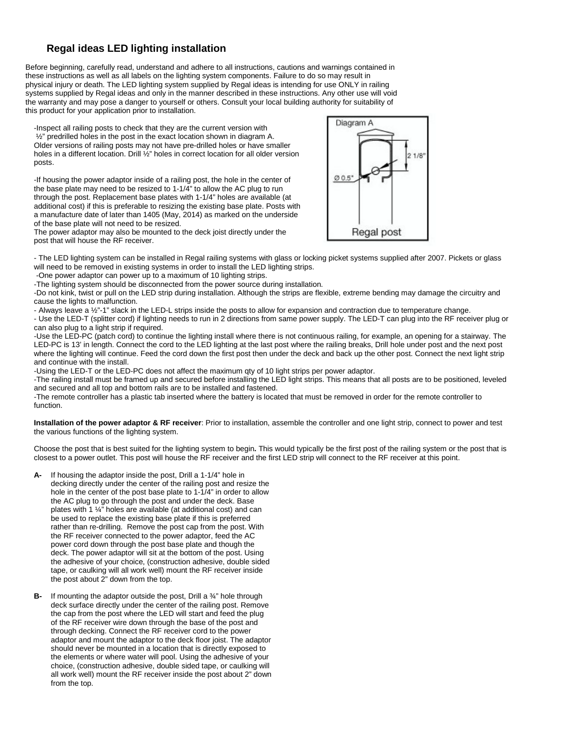## **Regal ideas LED lighting installation**

Before beginning, carefully read, understand and adhere to all instructions, cautions and warnings contained in these instructions as well as all labels on the lighting system components. Failure to do so may result in physical injury or death. The LED lighting system supplied by Regal ideas is intending for use ONLY in railing systems supplied by Regal ideas and only in the manner described in these instructions. Any other use will void the warranty and may pose a danger to yourself or others. Consult your local building authority for suitability of this product for your application prior to installation.

-Inspect all railing posts to check that they are the current version with ½" predrilled holes in the post in the exact location shown in diagram A. Older versions of railing posts may not have pre-drilled holes or have smaller holes in a different location. Drill 1/2" holes in correct location for all older version posts.

-If housing the power adaptor inside of a railing post, the hole in the center of the base plate may need to be resized to 1-1/4" to allow the AC plug to run through the post. Replacement base plates with 1-1/4" holes are available (at additional cost) if this is preferable to resizing the existing base plate. Posts with a manufacture date of later than 1405 (May, 2014) as marked on the underside of the base plate will not need to be resized.



The power adaptor may also be mounted to the deck joist directly under the post that will house the RF receiver.

- The LED lighting system can be installed in Regal railing systems with glass or locking picket systems supplied after 2007. Pickets or glass will need to be removed in existing systems in order to install the LED lighting strips.

-One power adaptor can power up to a maximum of 10 lighting strips.

-The lighting system should be disconnected from the power source during installation.

-Do not kink, twist or pull on the LED strip during installation. Although the strips are flexible, extreme bending may damage the circuitry and cause the lights to malfunction.

- Always leave a ½"-1" slack in the LED-L strips inside the posts to allow for expansion and contraction due to temperature change.

- Use the LED-T (splitter cord) if lighting needs to run in 2 directions from same power supply. The LED-T can plug into the RF receiver plug or can also plug to a light strip if required.

-Use the LED-PC (patch cord) to continue the lighting install where there is not continuous railing, for example, an opening for a stairway. The LED-PC is 13' in length. Connect the cord to the LED lighting at the last post where the railing breaks, Drill hole under post and the next post where the lighting will continue. Feed the cord down the first post then under the deck and back up the other post. Connect the next light strip and continue with the install.

-Using the LED-T or the LED-PC does not affect the maximum qty of 10 light strips per power adaptor.

-The railing install must be framed up and secured before installing the LED light strips. This means that all posts are to be positioned, leveled and secured and all top and bottom rails are to be installed and fastened.

-The remote controller has a plastic tab inserted where the battery is located that must be removed in order for the remote controller to function.

**Installation of the power adaptor & RF receiver**: Prior to installation, assemble the controller and one light strip, connect to power and test the various functions of the lighting system.

Choose the post that is best suited for the lighting system to begin**.** This would typically be the first post of the railing system or the post that is closest to a power outlet. This post will house the RF receiver and the first LED strip will connect to the RF receiver at this point.

- **A-** If housing the adaptor inside the post, Drill a 1-1/4" hole in decking directly under the center of the railing post and resize the hole in the center of the post base plate to 1-1/4" in order to allow the AC plug to go through the post and under the deck. Base plates with 1 ¼" holes are available (at additional cost) and can be used to replace the existing base plate if this is preferred rather than re-drilling. Remove the post cap from the post. With the RF receiver connected to the power adaptor, feed the AC power cord down through the post base plate and though the deck. The power adaptor will sit at the bottom of the post. Using the adhesive of your choice, (construction adhesive, double sided tape, or caulking will all work well) mount the RF receiver inside the post about 2" down from the top.
- **B-** If mounting the adaptor outside the post, Drill a ¾" hole through deck surface directly under the center of the railing post. Remove the cap from the post where the LED will start and feed the plug of the RF receiver wire down through the base of the post and through decking. Connect the RF receiver cord to the power adaptor and mount the adaptor to the deck floor joist. The adaptor should never be mounted in a location that is directly exposed to the elements or where water will pool. Using the adhesive of your choice, (construction adhesive, double sided tape, or caulking will all work well) mount the RF receiver inside the post about 2" down from the top.